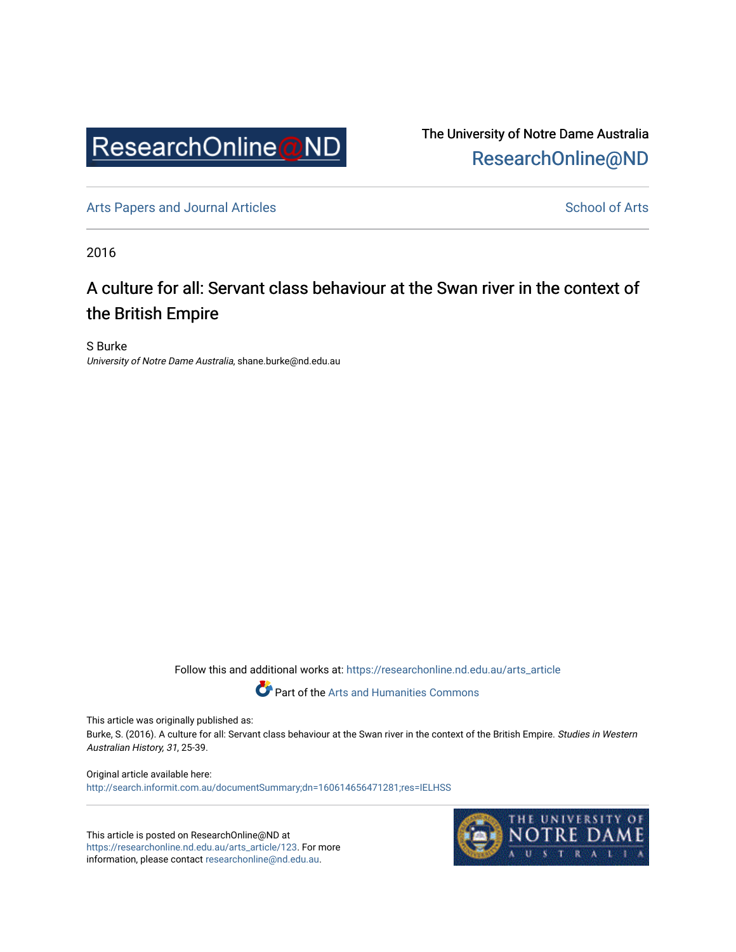

The University of Notre Dame Australia [ResearchOnline@ND](https://researchonline.nd.edu.au/) 

[Arts Papers and Journal Articles](https://researchonline.nd.edu.au/arts_article) and [School of Arts](https://researchonline.nd.edu.au/arts) School of Arts

2016

# A culture for all: Servant class behaviour at the Swan river in the context of the British Empire

S Burke University of Notre Dame Australia, shane.burke@nd.edu.au

Follow this and additional works at: [https://researchonline.nd.edu.au/arts\\_article](https://researchonline.nd.edu.au/arts_article?utm_source=researchonline.nd.edu.au%2Farts_article%2F123&utm_medium=PDF&utm_campaign=PDFCoverPages) 

Part of the [Arts and Humanities Commons](http://network.bepress.com/hgg/discipline/438?utm_source=researchonline.nd.edu.au%2Farts_article%2F123&utm_medium=PDF&utm_campaign=PDFCoverPages) 

This article was originally published as:

Burke, S. (2016). A culture for all: Servant class behaviour at the Swan river in the context of the British Empire. Studies in Western Australian History, 31, 25-39.

Original article available here: <http://search.informit.com.au/documentSummary;dn=160614656471281;res=IELHSS>

This article is posted on ResearchOnline@ND at [https://researchonline.nd.edu.au/arts\\_article/123](https://researchonline.nd.edu.au/arts_article/123). For more information, please contact [researchonline@nd.edu.au.](mailto:researchonline@nd.edu.au)

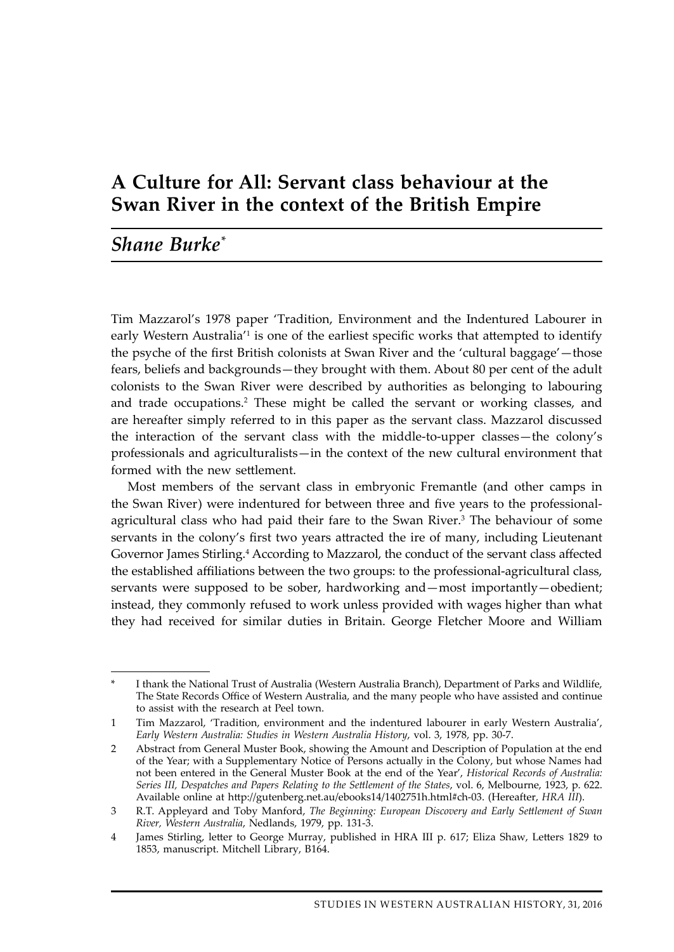## **A Culture for All: Servant class behaviour at the Swan River in the context of the British Empire**

### *Shane Burke\**

Tim Mazzarol's 1978 paper 'Tradition, Environment and the Indentured Labourer in early Western Australia<sup>'1</sup> is one of the earliest specific works that attempted to identify the psyche of the first British colonists at Swan River and the 'cultural baggage'—those fears, beliefs and backgrounds—they brought with them. About 80 per cent of the adult colonists to the Swan River were described by authorities as belonging to labouring and trade occupations.<sup>2</sup> These might be called the servant or working classes, and are hereafter simply referred to in this paper as the servant class. Mazzarol discussed the interaction of the servant class with the middle-to-upper classes—the colony's professionals and agriculturalists—in the context of the new cultural environment that formed with the new settlement.

Most members of the servant class in embryonic Fremantle (and other camps in the Swan River) were indentured for between three and five years to the professionalagricultural class who had paid their fare to the Swan River.<sup>3</sup> The behaviour of some servants in the colony's first two years attracted the ire of many, including Lieutenant Governor James Stirling.<sup>4</sup> According to Mazzarol, the conduct of the servant class affected the established affiliations between the two groups: to the professional-agricultural class, servants were supposed to be sober, hardworking and—most importantly—obedient; instead, they commonly refused to work unless provided with wages higher than what they had received for similar duties in Britain. George Fletcher Moore and William

I thank the National Trust of Australia (Western Australia Branch), Department of Parks and Wildlife, The State Records Office of Western Australia, and the many people who have assisted and continue to assist with the research at Peel town.

<sup>1</sup> Tim Mazzarol, 'Tradition, environment and the indentured labourer in early Western Australia', *Early Western Australia: Studies in Western Australia History*, vol. 3, 1978, pp. 30-7.

<sup>2</sup> Abstract from General Muster Book, showing the Amount and Description of Population at the end of the Year; with a Supplementary Notice of Persons actually in the Colony, but whose Names had not been entered in the General Muster Book at the end of the Year', *Historical Records of Australia: Series III, Despatches and Papers Relating to the Settlement of the States*, vol. 6, Melbourne, 1923, p. 622. Available online at http://gutenberg.net.au/ebooks14/1402751h.html#ch-03. (Hereafter, *HRA III*).

<sup>3</sup> R.T. Appleyard and Toby Manford, *The Beginning: European Discovery and Early Settlement of Swan River, Western Australia*, Nedlands, 1979, pp. 131-3.

<sup>4</sup> James Stirling, letter to George Murray, published in HRA III p. 617; Eliza Shaw, Letters 1829 to 1853, manuscript. Mitchell Library, B164.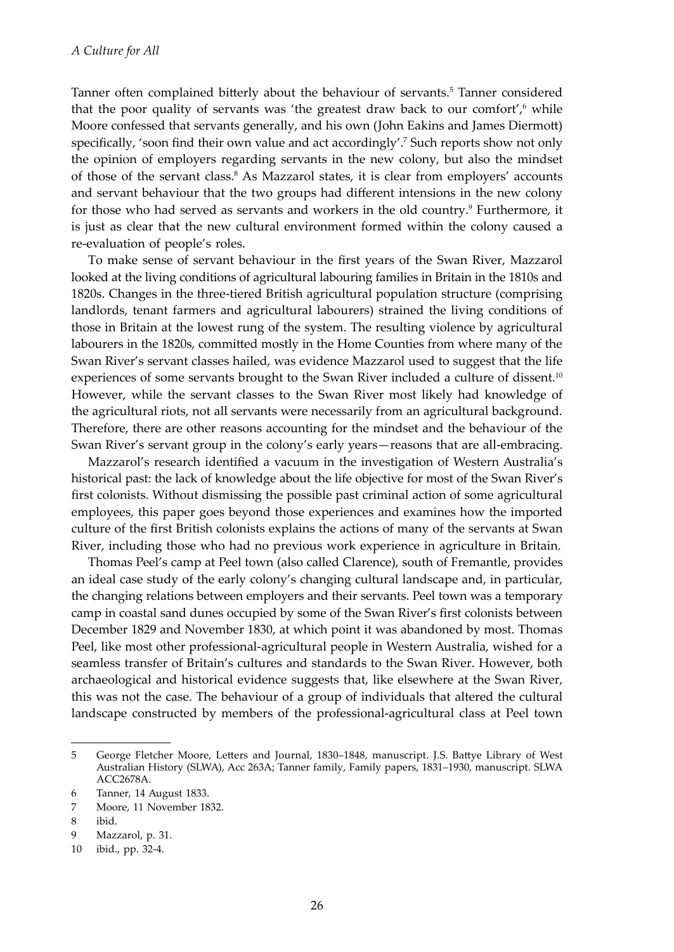Tanner often complained bitterly about the behaviour of servants.<sup>5</sup> Tanner considered that the poor quality of servants was 'the greatest draw back to our comfort',<sup>6</sup> while Moore confessed that servants generally, and his own (John Eakins and James Diermott) specifically, 'soon find their own value and act accordingly'.<sup>7</sup> Such reports show not only the opinion of employers regarding servants in the new colony, but also the mindset of those of the servant class.<sup>8</sup> As Mazzarol states, it is clear from employers' accounts and servant behaviour that the two groups had different intensions in the new colony for those who had served as servants and workers in the old country.<sup>9</sup> Furthermore, it is just as clear that the new cultural environment formed within the colony caused a re-evaluation of people's roles.

To make sense of servant behaviour in the first years of the Swan River, Mazzarol looked at the living conditions of agricultural labouring families in Britain in the 1810s and 1820s. Changes in the three-tiered British agricultural population structure (comprising landlords, tenant farmers and agricultural labourers) strained the living conditions of those in Britain at the lowest rung of the system. The resulting violence by agricultural labourers in the 1820s, committed mostly in the Home Counties from where many of the Swan River's servant classes hailed, was evidence Mazzarol used to suggest that the life experiences of some servants brought to the Swan River included a culture of dissent.<sup>10</sup> However, while the servant classes to the Swan River most likely had knowledge of the agricultural riots, not all servants were necessarily from an agricultural background. Therefore, there are other reasons accounting for the mindset and the behaviour of the Swan River's servant group in the colony's early years—reasons that are all-embracing.

Mazzarol's research identified a vacuum in the investigation of Western Australia's historical past: the lack of knowledge about the life objective for most of the Swan River's first colonists. Without dismissing the possible past criminal action of some agricultural employees, this paper goes beyond those experiences and examines how the imported culture of the first British colonists explains the actions of many of the servants at Swan River, including those who had no previous work experience in agriculture in Britain.

Thomas Peel's camp at Peel town (also called Clarence), south of Fremantle, provides an ideal case study of the early colony's changing cultural landscape and, in particular, the changing relations between employers and their servants. Peel town was a temporary camp in coastal sand dunes occupied by some of the Swan River's first colonists between December 1829 and November 1830, at which point it was abandoned by most. Thomas Peel, like most other professional-agricultural people in Western Australia, wished for a seamless transfer of Britain's cultures and standards to the Swan River. However, both archaeological and historical evidence suggests that, like elsewhere at the Swan River, this was not the case. The behaviour of a group of individuals that altered the cultural landscape constructed by members of the professional-agricultural class at Peel town

<sup>5</sup> George Fletcher Moore, Letters and Journal, 1830–1848, manuscript. J.S. Battye Library of West Australian History (SLWA), Acc 263A; Tanner family, Family papers, 1831–1930, manuscript. SLWA ACC2678A.

<sup>6</sup> Tanner, 14 August 1833.

<sup>7</sup> Moore, 11 November 1832.

<sup>8</sup> ibid.

<sup>9</sup> Mazzarol, p. 31.

<sup>10</sup> ibid., pp. 32-4.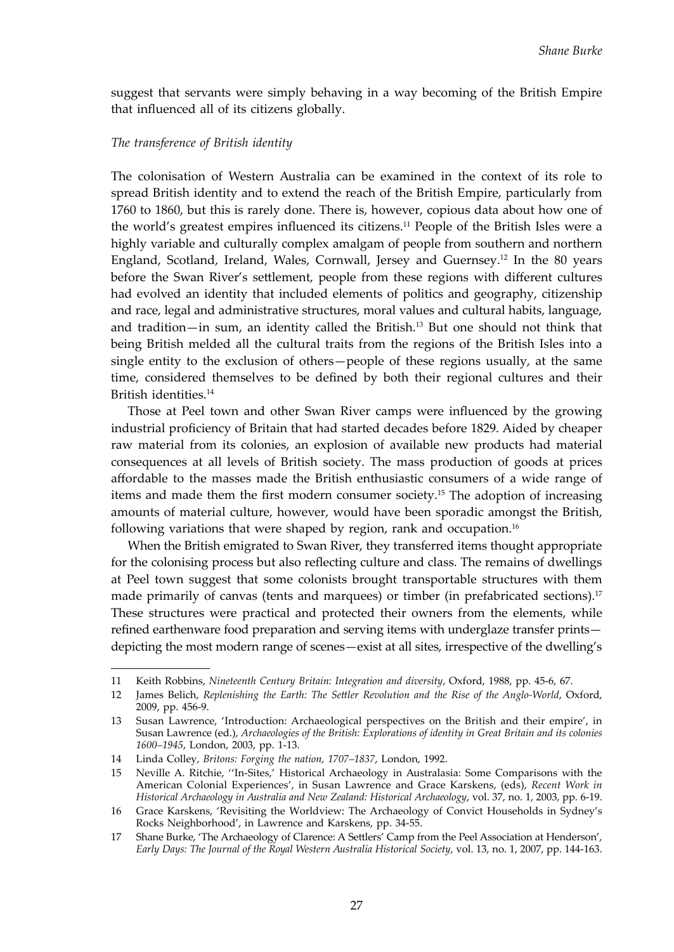suggest that servants were simply behaving in a way becoming of the British Empire that influenced all of its citizens globally.

### *The transference of British identity*

The colonisation of Western Australia can be examined in the context of its role to spread British identity and to extend the reach of the British Empire, particularly from 1760 to 1860, but this is rarely done. There is, however, copious data about how one of the world's greatest empires influenced its citizens.11 People of the British Isles were a highly variable and culturally complex amalgam of people from southern and northern England, Scotland, Ireland, Wales, Cornwall, Jersey and Guernsey.12 In the 80 years before the Swan River's settlement, people from these regions with different cultures had evolved an identity that included elements of politics and geography, citizenship and race, legal and administrative structures, moral values and cultural habits, language, and tradition—in sum, an identity called the British.13 But one should not think that being British melded all the cultural traits from the regions of the British Isles into a single entity to the exclusion of others—people of these regions usually, at the same time, considered themselves to be defined by both their regional cultures and their British identities.14

Those at Peel town and other Swan River camps were influenced by the growing industrial proficiency of Britain that had started decades before 1829. Aided by cheaper raw material from its colonies, an explosion of available new products had material consequences at all levels of British society. The mass production of goods at prices affordable to the masses made the British enthusiastic consumers of a wide range of items and made them the first modern consumer society.15 The adoption of increasing amounts of material culture, however, would have been sporadic amongst the British, following variations that were shaped by region, rank and occupation.<sup>16</sup>

When the British emigrated to Swan River, they transferred items thought appropriate for the colonising process but also reflecting culture and class. The remains of dwellings at Peel town suggest that some colonists brought transportable structures with them made primarily of canvas (tents and marquees) or timber (in prefabricated sections).<sup>17</sup> These structures were practical and protected their owners from the elements, while refined earthenware food preparation and serving items with underglaze transfer prints depicting the most modern range of scenes—exist at all sites, irrespective of the dwelling's

<sup>11</sup> Keith Robbins, *Nineteenth Century Britain: Integration and diversity*, Oxford, 1988, pp. 45-6, 67.

<sup>12</sup> James Belich, *Replenishing the Earth: The Settler Revolution and the Rise of the Anglo-World*, Oxford, 2009, pp. 456-9.

<sup>13</sup> Susan Lawrence, 'Introduction: Archaeological perspectives on the British and their empire', in Susan Lawrence (ed.), *Archaeologies of the British: Explorations of identity in Great Britain and its colonies 1600–1945*, London, 2003, pp. 1-13.

<sup>14</sup> Linda Colley, *Britons: Forging the nation, 1707–1837*, London, 1992.

<sup>15</sup> Neville A. Ritchie, ''In-Sites,' Historical Archaeology in Australasia: Some Comparisons with the American Colonial Experiences', in Susan Lawrence and Grace Karskens, (eds), *Recent Work in Historical Archaeology in Australia and New Zealand: Historical Archaeology*, vol. 37, no. 1, 2003, pp. 6-19.

<sup>16</sup> Grace Karskens, 'Revisiting the Worldview: The Archaeology of Convict Households in Sydney's Rocks Neighborhood', in Lawrence and Karskens, pp. 34-55.

<sup>17</sup> Shane Burke, 'The Archaeology of Clarence: A Settlers' Camp from the Peel Association at Henderson', *Early Days: The Journal of the Royal Western Australia Historical Society*, vol. 13, no. 1, 2007, pp. 144-163.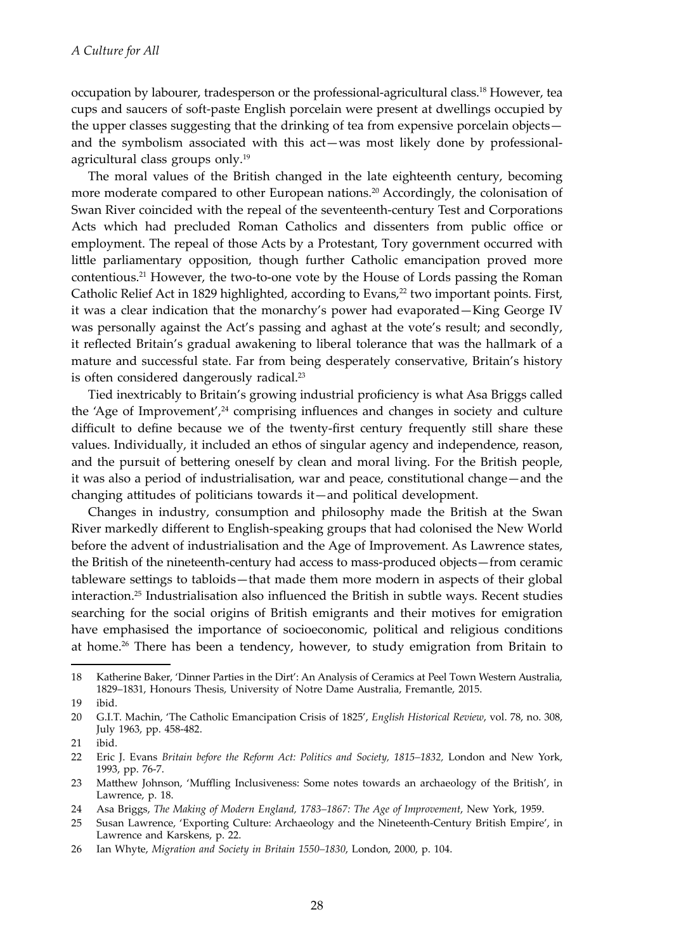occupation by labourer, tradesperson or the professional-agricultural class.18 However, tea cups and saucers of soft-paste English porcelain were present at dwellings occupied by the upper classes suggesting that the drinking of tea from expensive porcelain objects and the symbolism associated with this act—was most likely done by professionalagricultural class groups only.19

The moral values of the British changed in the late eighteenth century, becoming more moderate compared to other European nations.<sup>20</sup> Accordingly, the colonisation of Swan River coincided with the repeal of the seventeenth-century Test and Corporations Acts which had precluded Roman Catholics and dissenters from public office or employment. The repeal of those Acts by a Protestant, Tory government occurred with little parliamentary opposition, though further Catholic emancipation proved more contentious.21 However, the two-to-one vote by the House of Lords passing the Roman Catholic Relief Act in 1829 highlighted, according to Evans,<sup>22</sup> two important points. First, it was a clear indication that the monarchy's power had evaporated—King George IV was personally against the Act's passing and aghast at the vote's result; and secondly, it reflected Britain's gradual awakening to liberal tolerance that was the hallmark of a mature and successful state. Far from being desperately conservative, Britain's history is often considered dangerously radical.<sup>23</sup>

Tied inextricably to Britain's growing industrial proficiency is what Asa Briggs called the 'Age of Improvement', $24$  comprising influences and changes in society and culture difficult to define because we of the twenty-first century frequently still share these values. Individually, it included an ethos of singular agency and independence, reason, and the pursuit of bettering oneself by clean and moral living. For the British people, it was also a period of industrialisation, war and peace, constitutional change—and the changing attitudes of politicians towards it—and political development.

Changes in industry, consumption and philosophy made the British at the Swan River markedly different to English-speaking groups that had colonised the New World before the advent of industrialisation and the Age of Improvement. As Lawrence states, the British of the nineteenth-century had access to mass-produced objects—from ceramic tableware settings to tabloids—that made them more modern in aspects of their global interaction.25 Industrialisation also influenced the British in subtle ways. Recent studies searching for the social origins of British emigrants and their motives for emigration have emphasised the importance of socioeconomic, political and religious conditions at home.<sup>26</sup> There has been a tendency, however, to study emigration from Britain to

<sup>18</sup> Katherine Baker, 'Dinner Parties in the Dirt': An Analysis of Ceramics at Peel Town Western Australia, 1829–1831, Honours Thesis, University of Notre Dame Australia, Fremantle, 2015.

<sup>19</sup> ibid.

<sup>20</sup> G.I.T. Machin, 'The Catholic Emancipation Crisis of 1825', *English Historical Review*, vol. 78, no. 308, July 1963, pp. 458-482.

<sup>21</sup> ibid.

<sup>22</sup> Eric J. Evans *Britain before the Reform Act: Politics and Society, 1815–1832,* London and New York, 1993, pp. 76-7.

<sup>23</sup> Matthew Johnson, 'Muffling Inclusiveness: Some notes towards an archaeology of the British', in Lawrence, p. 18.

<sup>24</sup> Asa Briggs, *The Making of Modern England, 1783–1867: The Age of Improvement*, New York, 1959.

<sup>25</sup> Susan Lawrence, 'Exporting Culture: Archaeology and the Nineteenth-Century British Empire', in Lawrence and Karskens, p. 22.

<sup>26</sup> Ian Whyte, *Migration and Society in Britain 1550–1830*, London, 2000, p. 104.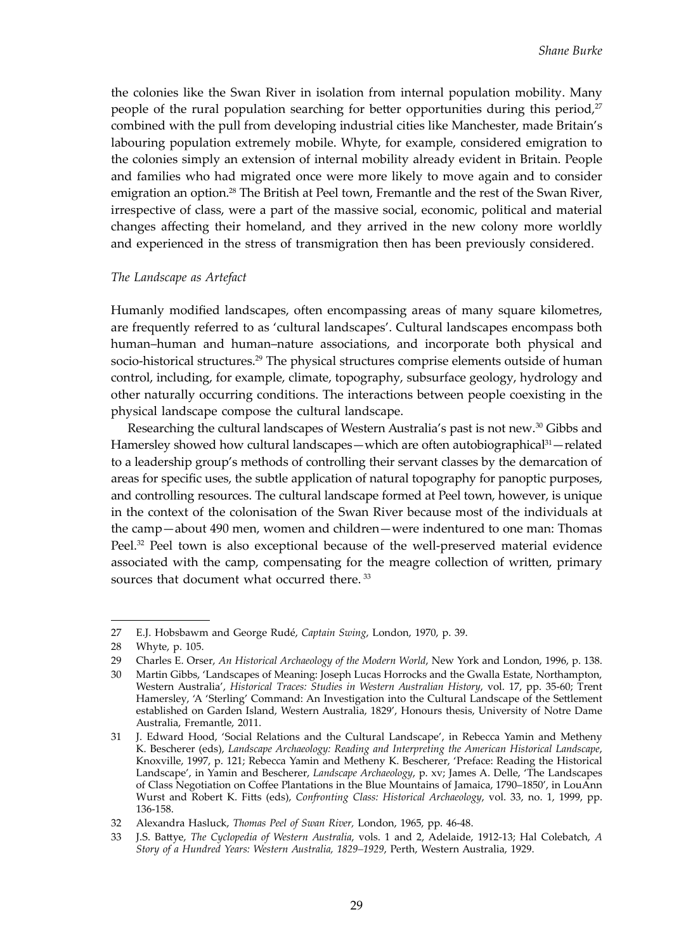the colonies like the Swan River in isolation from internal population mobility. Many people of the rural population searching for better opportunities during this period, $2^7$ combined with the pull from developing industrial cities like Manchester, made Britain's labouring population extremely mobile. Whyte, for example, considered emigration to the colonies simply an extension of internal mobility already evident in Britain. People and families who had migrated once were more likely to move again and to consider emigration an option.<sup>28</sup> The British at Peel town, Fremantle and the rest of the Swan River, irrespective of class, were a part of the massive social, economic, political and material changes affecting their homeland, and they arrived in the new colony more worldly and experienced in the stress of transmigration then has been previously considered.

#### *The Landscape as Artefact*

Humanly modified landscapes, often encompassing areas of many square kilometres, are frequently referred to as 'cultural landscapes'. Cultural landscapes encompass both human–human and human–nature associations, and incorporate both physical and socio-historical structures.<sup>29</sup> The physical structures comprise elements outside of human control, including, for example, climate, topography, subsurface geology, hydrology and other naturally occurring conditions. The interactions between people coexisting in the physical landscape compose the cultural landscape.

Researching the cultural landscapes of Western Australia's past is not new.30 Gibbs and Hamersley showed how cultural landscapes—which are often autobiographical<sup>31</sup>—related to a leadership group's methods of controlling their servant classes by the demarcation of areas for specific uses, the subtle application of natural topography for panoptic purposes, and controlling resources. The cultural landscape formed at Peel town, however, is unique in the context of the colonisation of the Swan River because most of the individuals at the camp—about 490 men, women and children—were indentured to one man: Thomas Peel.<sup>32</sup> Peel town is also exceptional because of the well-preserved material evidence associated with the camp, compensating for the meagre collection of written, primary sources that document what occurred there.<sup>33</sup>

<sup>27</sup> E.J. Hobsbawm and George Rudé, *Captain Swing*, London, 1970, p. 39.

<sup>28</sup> Whyte, p. 105.

<sup>29</sup> Charles E. Orser, *An Historical Archaeology of the Modern World*, New York and London, 1996, p. 138.

<sup>30</sup> Martin Gibbs, 'Landscapes of Meaning: Joseph Lucas Horrocks and the Gwalla Estate, Northampton, Western Australia', *Historical Traces: Studies in Western Australian History*, vol. 17, pp. 35-60; Trent Hamersley, 'A 'Sterling' Command: An Investigation into the Cultural Landscape of the Settlement established on Garden Island, Western Australia, 1829', Honours thesis, University of Notre Dame Australia, Fremantle, 2011.

<sup>31</sup> J. Edward Hood, 'Social Relations and the Cultural Landscape', in Rebecca Yamin and Metheny K. Bescherer (eds), *Landscape Archaeology: Reading and Interpreting the American Historical Landscape*, Knoxville, 1997, p. 121; Rebecca Yamin and Metheny K. Bescherer, 'Preface: Reading the Historical Landscape', in Yamin and Bescherer, *Landscape Archaeology*, p. xv; James A. Delle, 'The Landscapes of Class Negotiation on Coffee Plantations in the Blue Mountains of Jamaica, 1790–1850', in LouAnn Wurst and Robert K. Fitts (eds), *Confronting Class: Historical Archaeology*, vol. 33, no. 1, 1999, pp. 136-158.

<sup>32</sup> Alexandra Hasluck, *Thomas Peel of Swan River,* London, 1965, pp. 46-48.

<sup>33</sup> J.S. Battye, *The Cyclopedia of Western Australia*, vols. 1 and 2, Adelaide, 1912-13; Hal Colebatch, *A Story of a Hundred Years: Western Australia, 1829–1929*, Perth, Western Australia, 1929.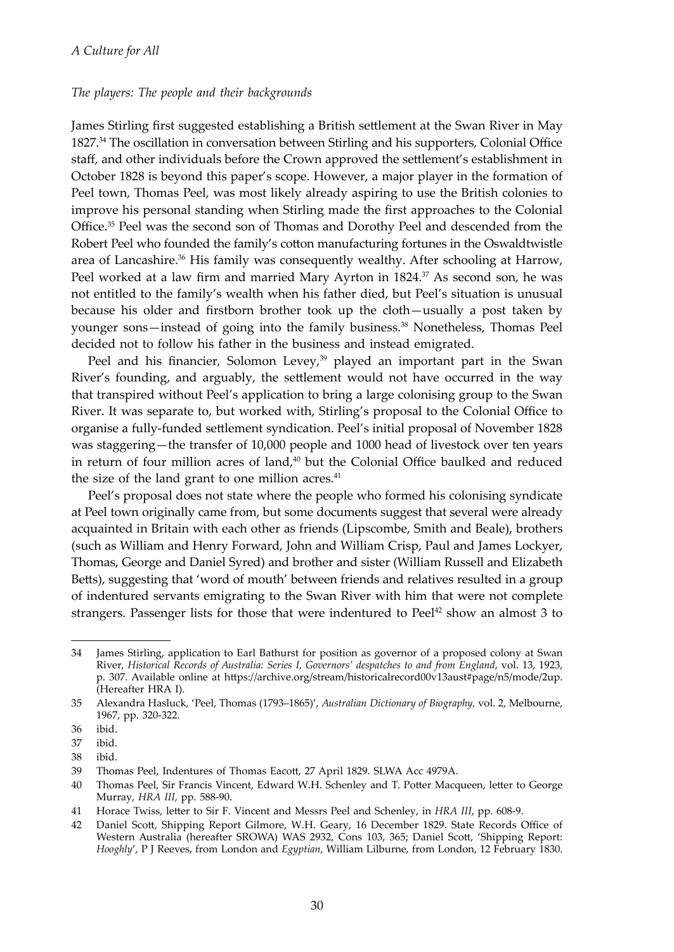#### *The players: The people and their backgrounds*

James Stirling first suggested establishing a British settlement at the Swan River in May 1827.<sup>34</sup> The oscillation in conversation between Stirling and his supporters, Colonial Office staff, and other individuals before the Crown approved the settlement's establishment in October 1828 is beyond this paper's scope. However, a major player in the formation of Peel town, Thomas Peel, was most likely already aspiring to use the British colonies to improve his personal standing when Stirling made the first approaches to the Colonial Office.35 Peel was the second son of Thomas and Dorothy Peel and descended from the Robert Peel who founded the family's cotton manufacturing fortunes in the Oswaldtwistle area of Lancashire.<sup>36</sup> His family was consequently wealthy. After schooling at Harrow, Peel worked at a law firm and married Mary Ayrton in 1824.<sup>37</sup> As second son, he was not entitled to the family's wealth when his father died, but Peel's situation is unusual because his older and firstborn brother took up the cloth—usually a post taken by younger sons—instead of going into the family business.38 Nonetheless, Thomas Peel decided not to follow his father in the business and instead emigrated.

Peel and his financier, Solomon Levey,<sup>39</sup> played an important part in the Swan River's founding, and arguably, the settlement would not have occurred in the way that transpired without Peel's application to bring a large colonising group to the Swan River. It was separate to, but worked with, Stirling's proposal to the Colonial Office to organise a fully-funded settlement syndication. Peel's initial proposal of November 1828 was staggering—the transfer of 10,000 people and 1000 head of livestock over ten years in return of four million acres of land,<sup>40</sup> but the Colonial Office baulked and reduced the size of the land grant to one million acres. $41$ 

Peel's proposal does not state where the people who formed his colonising syndicate at Peel town originally came from, but some documents suggest that several were already acquainted in Britain with each other as friends (Lipscombe, Smith and Beale), brothers (such as William and Henry Forward, John and William Crisp, Paul and James Lockyer, Thomas, George and Daniel Syred) and brother and sister (William Russell and Elizabeth Betts), suggesting that 'word of mouth' between friends and relatives resulted in a group of indentured servants emigrating to the Swan River with him that were not complete strangers. Passenger lists for those that were indentured to  $Peel<sup>42</sup>$  show an almost 3 to

<sup>34</sup> James Stirling, application to Earl Bathurst for position as governor of a proposed colony at Swan River, *Historical Records of Australia: Series I, Governors' despatches to and from England*, vol. 13, 1923, p. 307. Available online at https://archive.org/stream/historicalrecord00v13aust#page/n5/mode/2up. (Hereafter HRA I).

<sup>35</sup> Alexandra Hasluck, 'Peel, Thomas (1793–1865)', *Australian Dictionary of Biography,* vol. 2, Melbourne, 1967, pp. 320-322.

<sup>36</sup> ibid.

<sup>37</sup> ibid.

<sup>38</sup> ibid.

<sup>39</sup> Thomas Peel, Indentures of Thomas Eacott, 27 April 1829. SLWA Acc 4979A.

<sup>40</sup> Thomas Peel, Sir Francis Vincent, Edward W.H. Schenley and T. Potter Macqueen, letter to George Murray, *HRA III*, pp. 588-90.

<sup>41</sup> Horace Twiss, letter to Sir F. Vincent and Messrs Peel and Schenley, in *HRA III*, pp. 608-9.

<sup>42</sup> Daniel Scott, Shipping Report Gilmore, W.H. Geary, 16 December 1829. State Records Office of Western Australia (hereafter SROWA) WAS 2932, Cons 103, 365; Daniel Scott, 'Shipping Report: *Hooghly*', P J Reeves, from London and *Egyptian*, William Lilburne, from London, 12 February 1830.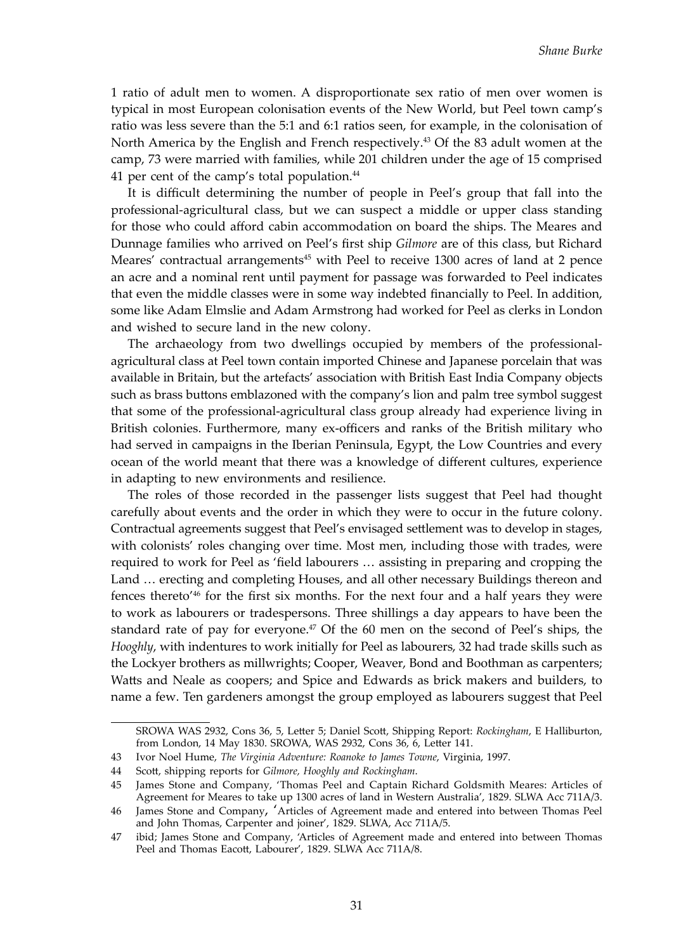1 ratio of adult men to women. A disproportionate sex ratio of men over women is typical in most European colonisation events of the New World, but Peel town camp's ratio was less severe than the 5:1 and 6:1 ratios seen, for example, in the colonisation of North America by the English and French respectively.<sup>43</sup> Of the 83 adult women at the camp, 73 were married with families, while 201 children under the age of 15 comprised 41 per cent of the camp's total population.<sup>44</sup>

It is difficult determining the number of people in Peel's group that fall into the professional-agricultural class, but we can suspect a middle or upper class standing for those who could afford cabin accommodation on board the ships. The Meares and Dunnage families who arrived on Peel's first ship *Gilmore* are of this class, but Richard Meares' contractual arrangements<sup>45</sup> with Peel to receive 1300 acres of land at 2 pence an acre and a nominal rent until payment for passage was forwarded to Peel indicates that even the middle classes were in some way indebted financially to Peel. In addition, some like Adam Elmslie and Adam Armstrong had worked for Peel as clerks in London and wished to secure land in the new colony.

The archaeology from two dwellings occupied by members of the professionalagricultural class at Peel town contain imported Chinese and Japanese porcelain that was available in Britain, but the artefacts' association with British East India Company objects such as brass buttons emblazoned with the company's lion and palm tree symbol suggest that some of the professional-agricultural class group already had experience living in British colonies. Furthermore, many ex-officers and ranks of the British military who had served in campaigns in the Iberian Peninsula, Egypt, the Low Countries and every ocean of the world meant that there was a knowledge of different cultures, experience in adapting to new environments and resilience.

The roles of those recorded in the passenger lists suggest that Peel had thought carefully about events and the order in which they were to occur in the future colony. Contractual agreements suggest that Peel's envisaged settlement was to develop in stages, with colonists' roles changing over time. Most men, including those with trades, were required to work for Peel as 'field labourers … assisting in preparing and cropping the Land … erecting and completing Houses, and all other necessary Buildings thereon and fences thereto'<sup>46</sup> for the first six months. For the next four and a half years they were to work as labourers or tradespersons. Three shillings a day appears to have been the standard rate of pay for everyone.<sup>47</sup> Of the 60 men on the second of Peel's ships, the *Hooghly*, with indentures to work initially for Peel as labourers, 32 had trade skills such as the Lockyer brothers as millwrights; Cooper, Weaver, Bond and Boothman as carpenters; Watts and Neale as coopers; and Spice and Edwards as brick makers and builders, to name a few. Ten gardeners amongst the group employed as labourers suggest that Peel

SROWA WAS 2932, Cons 36, 5, Letter 5; Daniel Scott, Shipping Report: *Rockingham*, E Halliburton, from London, 14 May 1830. SROWA, WAS 2932, Cons 36, 6, Letter 141.

<sup>43</sup> Ivor Noel Hume, *The Virginia Adventure: Roanoke to James Towne*, Virginia, 1997.

<sup>44</sup> Scott, shipping reports for *Gilmore, Hooghly and Rockingham*.

<sup>45</sup> James Stone and Company, 'Thomas Peel and Captain Richard Goldsmith Meares: Articles of Agreement for Meares to take up 1300 acres of land in Western Australia', 1829. SLWA Acc 711A/3.

<sup>46</sup> James Stone and Company, 'Articles of Agreement made and entered into between Thomas Peel and John Thomas, Carpenter and joiner', 1829. SLWA, Acc 711A/5.

<sup>47</sup> ibid; James Stone and Company, 'Articles of Agreement made and entered into between Thomas Peel and Thomas Eacott, Labourer', 1829. SLWA Acc 711A/8.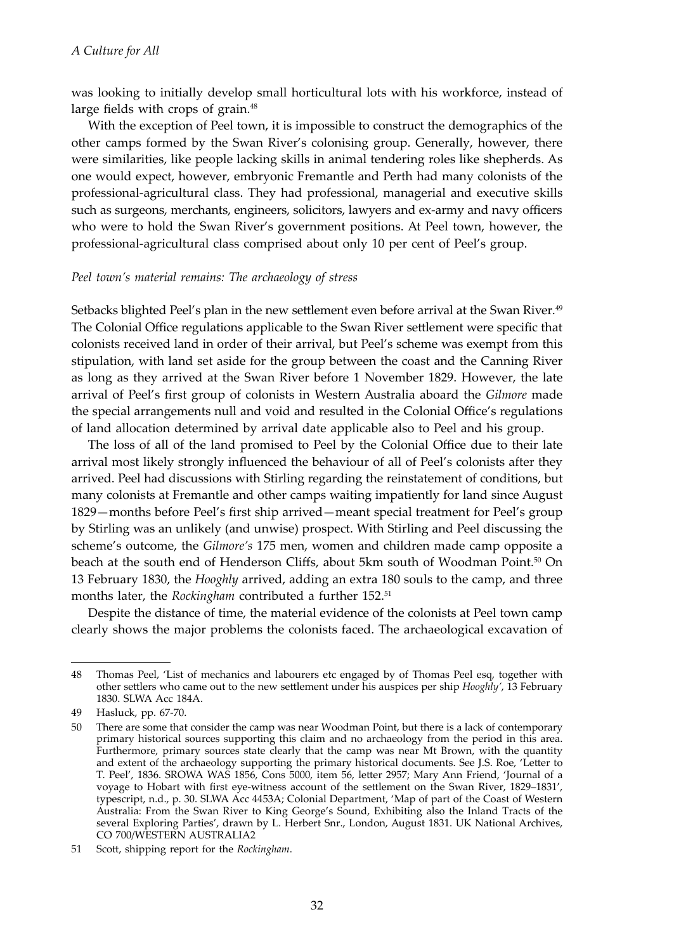was looking to initially develop small horticultural lots with his workforce, instead of large fields with crops of grain.<sup>48</sup>

With the exception of Peel town, it is impossible to construct the demographics of the other camps formed by the Swan River's colonising group. Generally, however, there were similarities, like people lacking skills in animal tendering roles like shepherds. As one would expect, however, embryonic Fremantle and Perth had many colonists of the professional-agricultural class. They had professional, managerial and executive skills such as surgeons, merchants, engineers, solicitors, lawyers and ex-army and navy officers who were to hold the Swan River's government positions. At Peel town, however, the professional-agricultural class comprised about only 10 per cent of Peel's group.

#### *Peel town's material remains: The archaeology of stress*

Setbacks blighted Peel's plan in the new settlement even before arrival at the Swan River.<sup>49</sup> The Colonial Office regulations applicable to the Swan River settlement were specific that colonists received land in order of their arrival, but Peel's scheme was exempt from this stipulation, with land set aside for the group between the coast and the Canning River as long as they arrived at the Swan River before 1 November 1829. However, the late arrival of Peel's first group of colonists in Western Australia aboard the *Gilmore* made the special arrangements null and void and resulted in the Colonial Office's regulations of land allocation determined by arrival date applicable also to Peel and his group.

The loss of all of the land promised to Peel by the Colonial Office due to their late arrival most likely strongly influenced the behaviour of all of Peel's colonists after they arrived. Peel had discussions with Stirling regarding the reinstatement of conditions, but many colonists at Fremantle and other camps waiting impatiently for land since August 1829—months before Peel's first ship arrived—meant special treatment for Peel's group by Stirling was an unlikely (and unwise) prospect. With Stirling and Peel discussing the scheme's outcome, the *Gilmore's* 175 men, women and children made camp opposite a beach at the south end of Henderson Cliffs, about 5km south of Woodman Point.<sup>50</sup> On 13 February 1830, the *Hooghly* arrived, adding an extra 180 souls to the camp, and three months later, the *Rockingham* contributed a further 152.51

Despite the distance of time, the material evidence of the colonists at Peel town camp clearly shows the major problems the colonists faced. The archaeological excavation of

<sup>48</sup> Thomas Peel, 'List of mechanics and labourers etc engaged by of Thomas Peel esq, together with other settlers who came out to the new settlement under his auspices per ship *Hooghly'*, 13 February 1830. SLWA Acc 184A.

<sup>49</sup> Hasluck, pp. 67-70.

<sup>50</sup> There are some that consider the camp was near Woodman Point, but there is a lack of contemporary primary historical sources supporting this claim and no archaeology from the period in this area. Furthermore, primary sources state clearly that the camp was near Mt Brown, with the quantity and extent of the archaeology supporting the primary historical documents. See J.S. Roe, 'Letter to T. Peel', 1836. SROWA WAS 1856, Cons 5000, item 56, letter 2957; Mary Ann Friend, 'Journal of a voyage to Hobart with first eye-witness account of the settlement on the Swan River, 1829–1831', typescript, n.d., p. 30. SLWA Acc 4453A; Colonial Department, 'Map of part of the Coast of Western Australia: From the Swan River to King George's Sound, Exhibiting also the Inland Tracts of the several Exploring Parties', drawn by L. Herbert Snr., London, August 1831. UK National Archives, CO 700/WESTERN AUSTRALIA2

<sup>51</sup> Scott, shipping report for the *Rockingham*.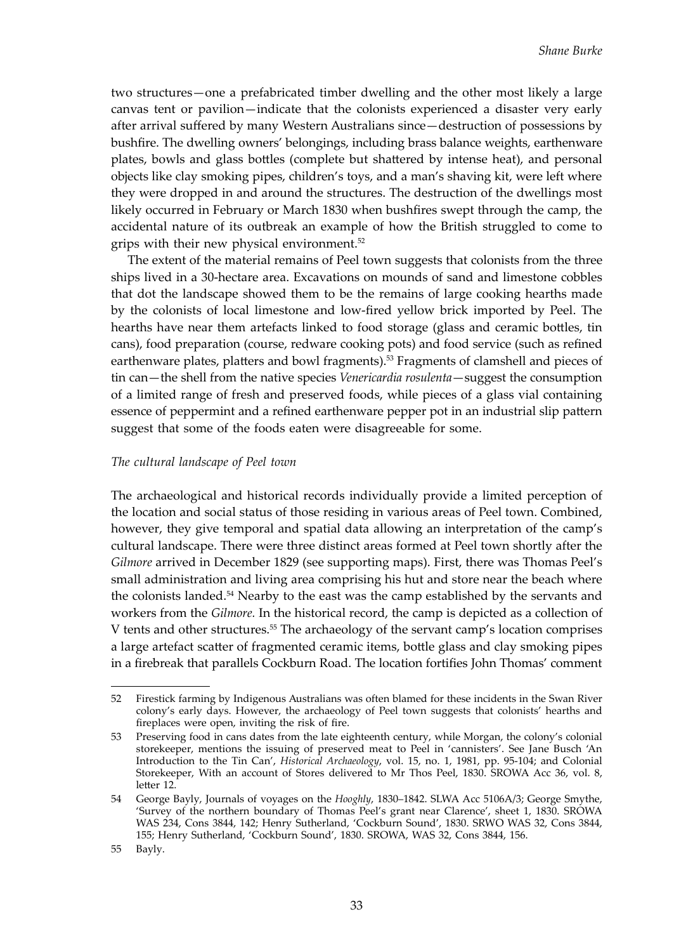two structures—one a prefabricated timber dwelling and the other most likely a large canvas tent or pavilion—indicate that the colonists experienced a disaster very early after arrival suffered by many Western Australians since—destruction of possessions by bushfire. The dwelling owners' belongings, including brass balance weights, earthenware plates, bowls and glass bottles (complete but shattered by intense heat), and personal objects like clay smoking pipes, children's toys, and a man's shaving kit, were left where they were dropped in and around the structures. The destruction of the dwellings most likely occurred in February or March 1830 when bushfires swept through the camp, the accidental nature of its outbreak an example of how the British struggled to come to grips with their new physical environment.52

The extent of the material remains of Peel town suggests that colonists from the three ships lived in a 30-hectare area. Excavations on mounds of sand and limestone cobbles that dot the landscape showed them to be the remains of large cooking hearths made by the colonists of local limestone and low-fired yellow brick imported by Peel. The hearths have near them artefacts linked to food storage (glass and ceramic bottles, tin cans), food preparation (course, redware cooking pots) and food service (such as refined earthenware plates, platters and bowl fragments).53 Fragments of clamshell and pieces of tin can—the shell from the native species *Venericardia rosulenta*—suggest the consumption of a limited range of fresh and preserved foods, while pieces of a glass vial containing essence of peppermint and a refined earthenware pepper pot in an industrial slip pattern suggest that some of the foods eaten were disagreeable for some.

#### *The cultural landscape of Peel town*

The archaeological and historical records individually provide a limited perception of the location and social status of those residing in various areas of Peel town. Combined, however, they give temporal and spatial data allowing an interpretation of the camp's cultural landscape. There were three distinct areas formed at Peel town shortly after the *Gilmore* arrived in December 1829 (see supporting maps). First, there was Thomas Peel's small administration and living area comprising his hut and store near the beach where the colonists landed.54 Nearby to the east was the camp established by the servants and workers from the *Gilmore.* In the historical record, the camp is depicted as a collection of V tents and other structures.55 The archaeology of the servant camp's location comprises a large artefact scatter of fragmented ceramic items, bottle glass and clay smoking pipes in a firebreak that parallels Cockburn Road. The location fortifies John Thomas' comment

<sup>52</sup> Firestick farming by Indigenous Australians was often blamed for these incidents in the Swan River colony's early days. However, the archaeology of Peel town suggests that colonists' hearths and fireplaces were open, inviting the risk of fire.

<sup>53</sup> Preserving food in cans dates from the late eighteenth century, while Morgan, the colony's colonial storekeeper, mentions the issuing of preserved meat to Peel in 'cannisters'. See Jane Busch 'An Introduction to the Tin Can', *Historical Archaeology*, vol. 15, no. 1, 1981, pp. 95-104; and Colonial Storekeeper, With an account of Stores delivered to Mr Thos Peel, 1830. SROWA Acc 36, vol. 8, letter 12.

<sup>54</sup> George Bayly, Journals of voyages on the *Hooghly*, 1830–1842. SLWA Acc 5106A/3; George Smythe, 'Survey of the northern boundary of Thomas Peel's grant near Clarence', sheet 1, 1830. SROWA WAS 234, Cons 3844, 142; Henry Sutherland, 'Cockburn Sound', 1830. SRWO WAS 32, Cons 3844, 155; Henry Sutherland, 'Cockburn Sound', 1830. SROWA, WAS 32, Cons 3844, 156.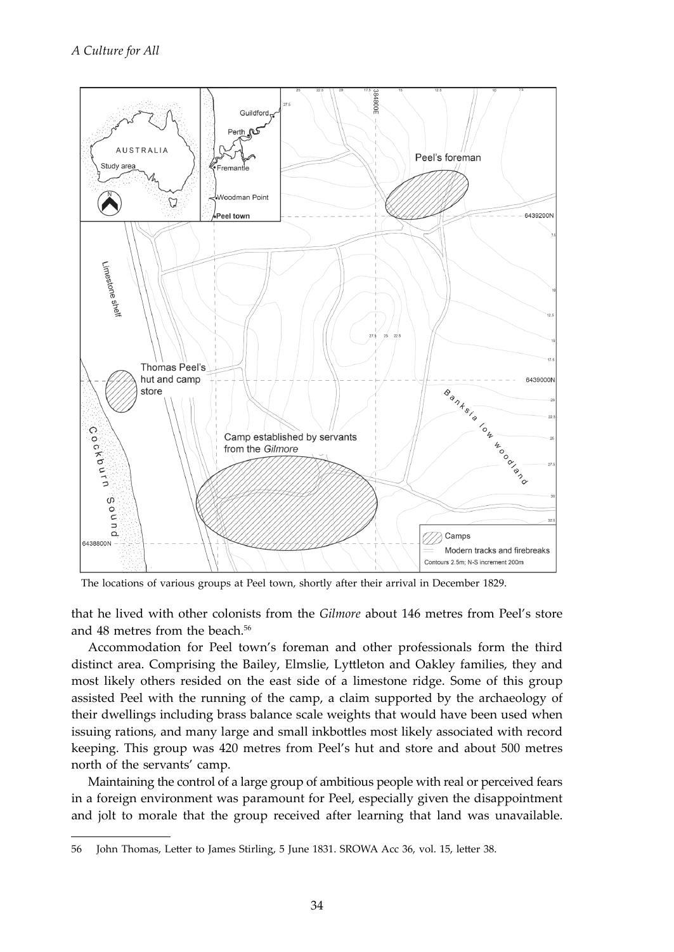

The locations of various groups at Peel town, shortly after their arrival in December 1829.

that he lived with other colonists from the *Gilmore* about 146 metres from Peel's store and 48 metres from the beach.<sup>56</sup>

Accommodation for Peel town's foreman and other professionals form the third distinct area. Comprising the Bailey, Elmslie, Lyttleton and Oakley families, they and most likely others resided on the east side of a limestone ridge. Some of this group assisted Peel with the running of the camp, a claim supported by the archaeology of their dwellings including brass balance scale weights that would have been used when issuing rations, and many large and small inkbottles most likely associated with record keeping. This group was 420 metres from Peel's hut and store and about 500 metres north of the servants' camp.

Maintaining the control of a large group of ambitious people with real or perceived fears in a foreign environment was paramount for Peel, especially given the disappointment and jolt to morale that the group received after learning that land was unavailable.

<sup>56</sup> John Thomas, Letter to James Stirling, 5 June 1831. SROWA Acc 36, vol. 15, letter 38.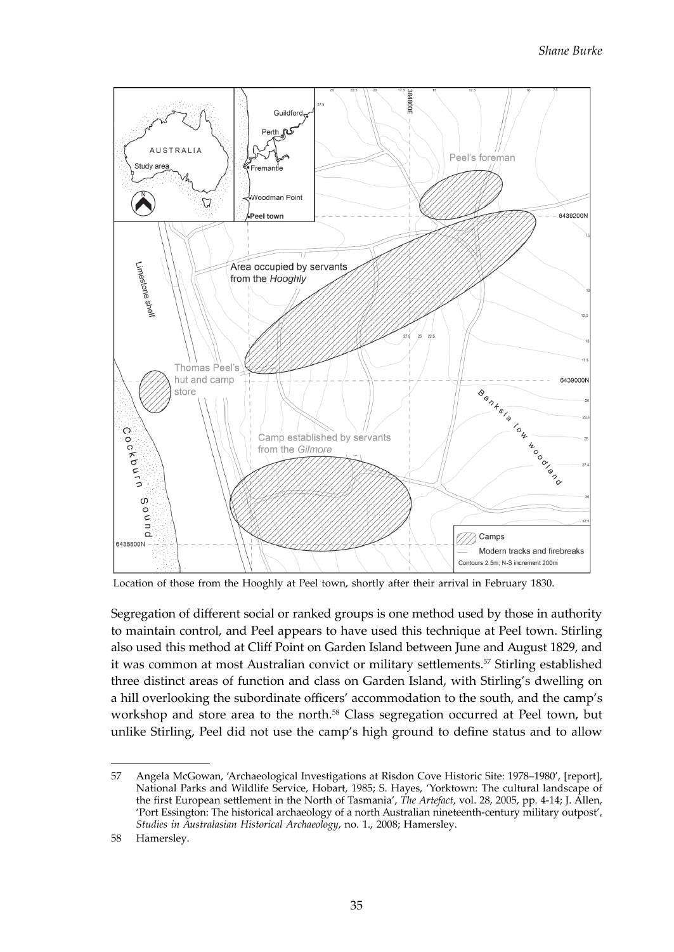

Location of those from the Hooghly at Peel town, shortly after their arrival in February 1830.

Segregation of different social or ranked groups is one method used by those in authority to maintain control, and Peel appears to have used this technique at Peel town. Stirling also used this method at Cliff Point on Garden Island between June and August 1829, and it was common at most Australian convict or military settlements.<sup>57</sup> Stirling established three distinct areas of function and class on Garden Island, with Stirling's dwelling on a hill overlooking the subordinate officers' accommodation to the south, and the camp's workshop and store area to the north.58 Class segregation occurred at Peel town, but unlike Stirling, Peel did not use the camp's high ground to define status and to allow

<sup>57</sup> Angela McGowan, 'Archaeological Investigations at Risdon Cove Historic Site: 1978–1980', [report], National Parks and Wildlife Service, Hobart, 1985; S. Hayes, 'Yorktown: The cultural landscape of the first European settlement in the North of Tasmania', *The Artefact*, vol. 28, 2005, pp. 4-14; J. Allen, 'Port Essington: The historical archaeology of a north Australian nineteenth-century military outpost', *Studies in Australasian Historical Archaeology*, no. 1., 2008; Hamersley.

<sup>58</sup> Hamersley.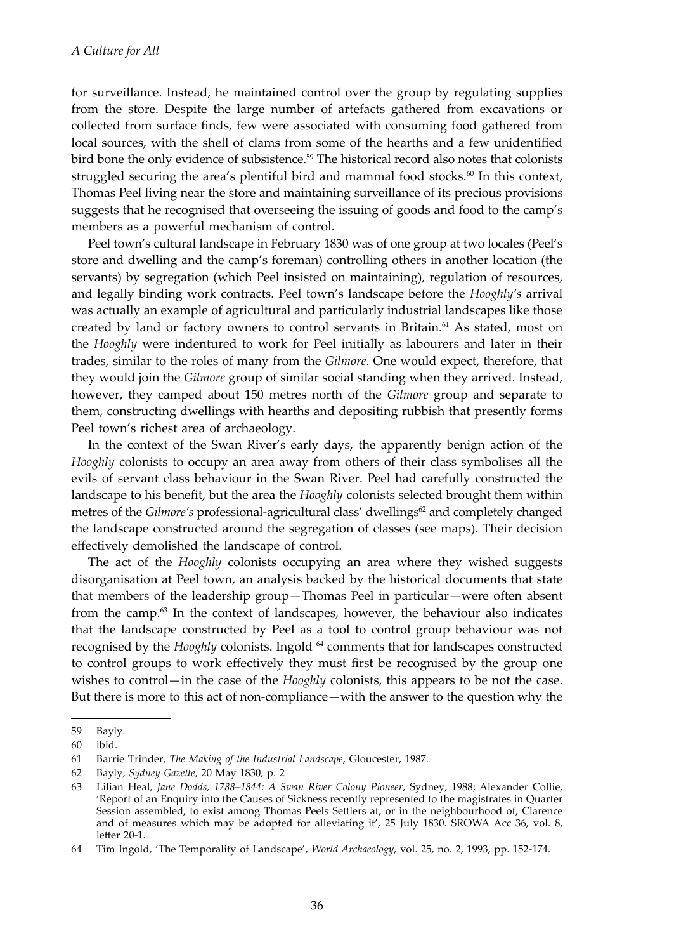for surveillance. Instead, he maintained control over the group by regulating supplies from the store. Despite the large number of artefacts gathered from excavations or collected from surface finds, few were associated with consuming food gathered from local sources, with the shell of clams from some of the hearths and a few unidentified bird bone the only evidence of subsistence.59 The historical record also notes that colonists struggled securing the area's plentiful bird and mammal food stocks. $60$  In this context, Thomas Peel living near the store and maintaining surveillance of its precious provisions suggests that he recognised that overseeing the issuing of goods and food to the camp's members as a powerful mechanism of control.

Peel town's cultural landscape in February 1830 was of one group at two locales (Peel's store and dwelling and the camp's foreman) controlling others in another location (the servants) by segregation (which Peel insisted on maintaining), regulation of resources, and legally binding work contracts. Peel town's landscape before the *Hooghly's* arrival was actually an example of agricultural and particularly industrial landscapes like those created by land or factory owners to control servants in Britain.<sup>61</sup> As stated, most on the *Hooghly* were indentured to work for Peel initially as labourers and later in their trades, similar to the roles of many from the *Gilmore*. One would expect, therefore, that they would join the *Gilmore* group of similar social standing when they arrived. Instead, however, they camped about 150 metres north of the *Gilmore* group and separate to them, constructing dwellings with hearths and depositing rubbish that presently forms Peel town's richest area of archaeology.

In the context of the Swan River's early days, the apparently benign action of the *Hooghly* colonists to occupy an area away from others of their class symbolises all the evils of servant class behaviour in the Swan River. Peel had carefully constructed the landscape to his benefit, but the area the *Hooghly* colonists selected brought them within metres of the *Gilmore's* professional-agricultural class' dwellings<sup>62</sup> and completely changed the landscape constructed around the segregation of classes (see maps). Their decision effectively demolished the landscape of control.

The act of the *Hooghly* colonists occupying an area where they wished suggests disorganisation at Peel town, an analysis backed by the historical documents that state that members of the leadership group—Thomas Peel in particular—were often absent from the camp.<sup>63</sup> In the context of landscapes, however, the behaviour also indicates that the landscape constructed by Peel as a tool to control group behaviour was not recognised by the *Hooghly* colonists. Ingold <sup>64</sup> comments that for landscapes constructed to control groups to work effectively they must first be recognised by the group one wishes to control—in the case of the *Hooghly* colonists, this appears to be not the case. But there is more to this act of non-compliance—with the answer to the question why the

<sup>59</sup> Bayly.

<sup>60</sup> ibid.

<sup>61</sup> Barrie Trinder, *The Making of the Industrial Landscape*, Gloucester, 1987.

<sup>62</sup> Bayly; *Sydney Gazette*, 20 May 1830, p. 2

<sup>63</sup> Lilian Heal, *Jane Dodds, 1788–1844: A Swan River Colony Pioneer*, Sydney, 1988; Alexander Collie, 'Report of an Enquiry into the Causes of Sickness recently represented to the magistrates in Quarter Session assembled, to exist among Thomas Peels Settlers at, or in the neighbourhood of, Clarence and of measures which may be adopted for alleviating it', 25 July 1830. SROWA Acc 36, vol. 8, letter 20-1.

<sup>64</sup> Tim Ingold, 'The Temporality of Landscape', *World Archaeology*, vol. 25, no. 2, 1993, pp. 152-174.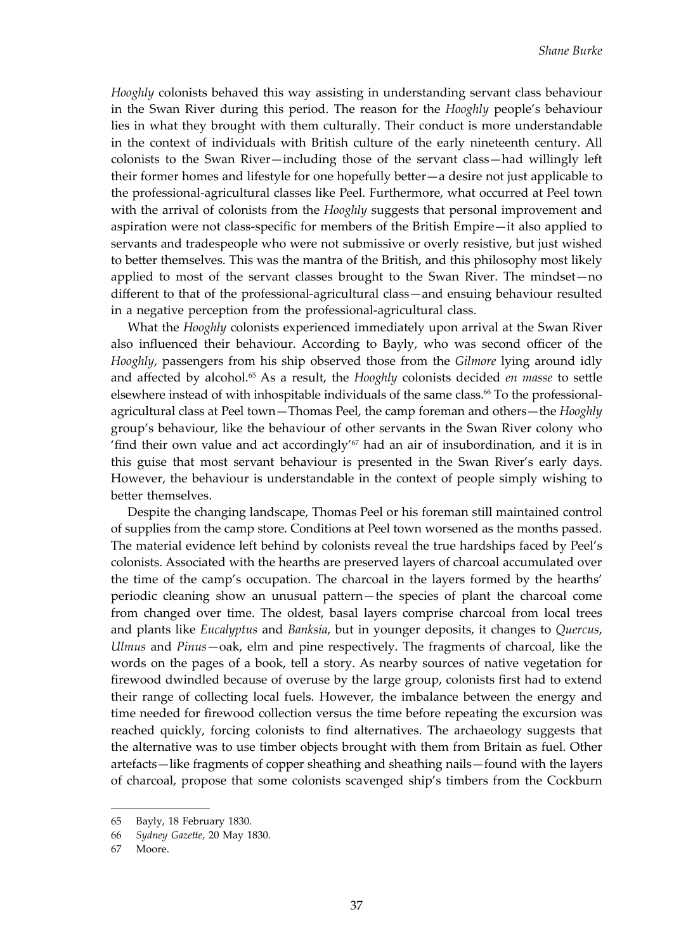*Hooghly* colonists behaved this way assisting in understanding servant class behaviour in the Swan River during this period. The reason for the *Hooghly* people's behaviour lies in what they brought with them culturally. Their conduct is more understandable in the context of individuals with British culture of the early nineteenth century. All colonists to the Swan River—including those of the servant class—had willingly left their former homes and lifestyle for one hopefully better—a desire not just applicable to the professional-agricultural classes like Peel. Furthermore, what occurred at Peel town with the arrival of colonists from the *Hooghly* suggests that personal improvement and aspiration were not class-specific for members of the British Empire—it also applied to servants and tradespeople who were not submissive or overly resistive, but just wished to better themselves. This was the mantra of the British, and this philosophy most likely applied to most of the servant classes brought to the Swan River. The mindset—no different to that of the professional-agricultural class—and ensuing behaviour resulted in a negative perception from the professional-agricultural class.

What the *Hooghly* colonists experienced immediately upon arrival at the Swan River also influenced their behaviour. According to Bayly, who was second officer of the *Hooghly*, passengers from his ship observed those from the *Gilmore* lying around idly and affected by alcohol.65 As a result, the *Hooghly* colonists decided *en masse* to settle elsewhere instead of with inhospitable individuals of the same class.<sup>66</sup> To the professionalagricultural class at Peel town—Thomas Peel, the camp foreman and others—the *Hooghly*  group's behaviour, like the behaviour of other servants in the Swan River colony who 'find their own value and act accordingly'<sup>67</sup> had an air of insubordination, and it is in this guise that most servant behaviour is presented in the Swan River's early days. However, the behaviour is understandable in the context of people simply wishing to better themselves.

Despite the changing landscape, Thomas Peel or his foreman still maintained control of supplies from the camp store. Conditions at Peel town worsened as the months passed. The material evidence left behind by colonists reveal the true hardships faced by Peel's colonists. Associated with the hearths are preserved layers of charcoal accumulated over the time of the camp's occupation. The charcoal in the layers formed by the hearths' periodic cleaning show an unusual pattern—the species of plant the charcoal come from changed over time. The oldest, basal layers comprise charcoal from local trees and plants like *Eucalyptus* and *Banksia*, but in younger deposits, it changes to *Quercus*, *Ulmus* and *Pinus—*oak, elm and pine respectively. The fragments of charcoal, like the words on the pages of a book, tell a story. As nearby sources of native vegetation for firewood dwindled because of overuse by the large group, colonists first had to extend their range of collecting local fuels. However, the imbalance between the energy and time needed for firewood collection versus the time before repeating the excursion was reached quickly, forcing colonists to find alternatives. The archaeology suggests that the alternative was to use timber objects brought with them from Britain as fuel. Other artefacts—like fragments of copper sheathing and sheathing nails—found with the layers of charcoal, propose that some colonists scavenged ship's timbers from the Cockburn

<sup>65</sup> Bayly, 18 February 1830.

<sup>66</sup> *Sydney Gazette*, 20 May 1830.

<sup>67</sup> Moore.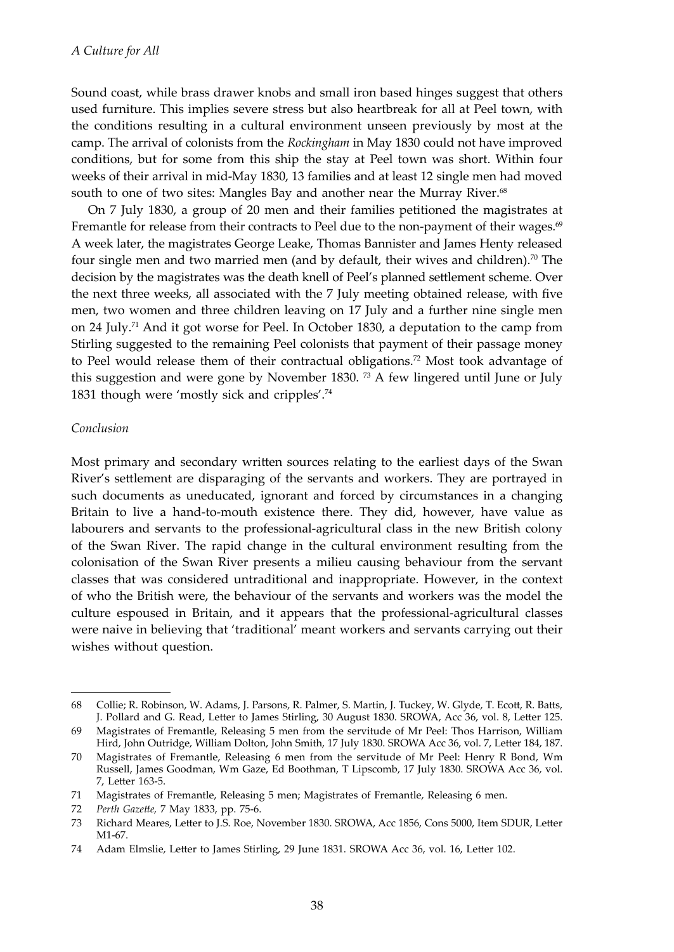Sound coast, while brass drawer knobs and small iron based hinges suggest that others used furniture. This implies severe stress but also heartbreak for all at Peel town, with the conditions resulting in a cultural environment unseen previously by most at the camp. The arrival of colonists from the *Rockingham* in May 1830 could not have improved conditions, but for some from this ship the stay at Peel town was short. Within four weeks of their arrival in mid-May 1830, 13 families and at least 12 single men had moved south to one of two sites: Mangles Bay and another near the Murray River.<sup>68</sup>

On 7 July 1830, a group of 20 men and their families petitioned the magistrates at Fremantle for release from their contracts to Peel due to the non-payment of their wages.<sup>69</sup> A week later, the magistrates George Leake, Thomas Bannister and James Henty released four single men and two married men (and by default, their wives and children).<sup>70</sup> The decision by the magistrates was the death knell of Peel's planned settlement scheme. Over the next three weeks, all associated with the 7 July meeting obtained release, with five men, two women and three children leaving on 17 July and a further nine single men on 24 July.<sup>71</sup> And it got worse for Peel. In October 1830, a deputation to the camp from Stirling suggested to the remaining Peel colonists that payment of their passage money to Peel would release them of their contractual obligations.<sup>72</sup> Most took advantage of this suggestion and were gone by November 1830.  $^{73}$  A few lingered until June or July 1831 though were 'mostly sick and cripples'.<sup>74</sup>

#### *Conclusion*

Most primary and secondary written sources relating to the earliest days of the Swan River's settlement are disparaging of the servants and workers. They are portrayed in such documents as uneducated, ignorant and forced by circumstances in a changing Britain to live a hand-to-mouth existence there. They did, however, have value as labourers and servants to the professional-agricultural class in the new British colony of the Swan River. The rapid change in the cultural environment resulting from the colonisation of the Swan River presents a milieu causing behaviour from the servant classes that was considered untraditional and inappropriate. However, in the context of who the British were, the behaviour of the servants and workers was the model the culture espoused in Britain, and it appears that the professional-agricultural classes were naive in believing that 'traditional' meant workers and servants carrying out their wishes without question.

72 *Perth Gazette,* 7 May 1833, pp. 75-6.

<sup>68</sup> Collie; R. Robinson, W. Adams, J. Parsons, R. Palmer, S. Martin, J. Tuckey, W. Glyde, T. Ecott, R. Batts, J. Pollard and G. Read, Letter to James Stirling, 30 August 1830. SROWA, Acc 36, vol. 8, Letter 125.

<sup>69</sup> Magistrates of Fremantle, Releasing 5 men from the servitude of Mr Peel: Thos Harrison, William Hird, John Outridge, William Dolton, John Smith, 17 July 1830. SROWA Acc 36, vol. 7, Letter 184, 187.

<sup>70</sup> Magistrates of Fremantle, Releasing 6 men from the servitude of Mr Peel: Henry R Bond, Wm Russell, James Goodman, Wm Gaze, Ed Boothman, T Lipscomb, 17 July 1830. SROWA Acc 36, vol. 7, Letter 163-5.

<sup>71</sup> Magistrates of Fremantle, Releasing 5 men; Magistrates of Fremantle, Releasing 6 men.

<sup>73</sup> Richard Meares, Letter to J.S. Roe, November 1830. SROWA, Acc 1856, Cons 5000, Item SDUR, Letter M<sub>1-67</sub>

<sup>74</sup> Adam Elmslie, Letter to James Stirling, 29 June 1831. SROWA Acc 36, vol. 16, Letter 102.